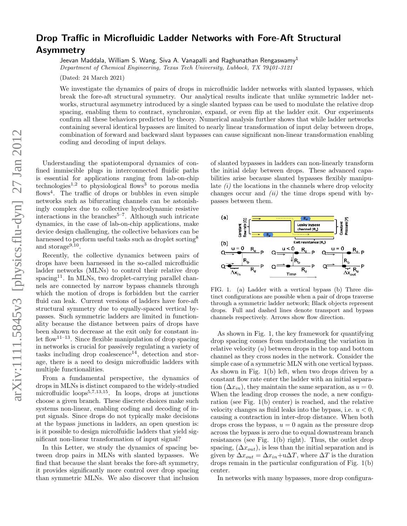## Drop Traffic in Microfluidic Ladder Networks with Fore-Aft Structural Asymmetry

Jeevan Maddala, William S. Wang, Siva A. Vanapalli and Raghunathan Rengaswamy<sup>1</sup>

Department of Chemical Engineering, Texas Tech University, Lubbock, TX 79401-3121

(Dated: 24 March 2021)

We investigate the dynamics of pairs of drops in microfluidic ladder networks with slanted bypasses, which break the fore-aft structural symmetry. Our analytical results indicate that unlike symmetric ladder networks, structural asymmetry introduced by a single slanted bypass can be used to modulate the relative drop spacing, enabling them to contract, synchronize, expand, or even flip at the ladder exit. Our experiments confirm all these behaviors predicted by theory. Numerical analysis further shows that while ladder networks containing several identical bypasses are limited to nearly linear transformation of input delay between drops, combination of forward and backward slant bypasses can cause significant non-linear transformation enabling coding and decoding of input delays.

Understanding the spatiotemporal dynamics of confined immiscible plugs in interconnected fluidic paths is essential for applications ranging from lab-on-chip technologies<sup>1,2</sup> to physiological flows<sup>3</sup> to porous media flows<sup>4</sup>. The traffic of drops or bubbles in even simple networks such as bifurcating channels can be astonishingly complex due to collective hydrodynamic resistive interactions in the branches<sup> $5-7$ </sup>. Although such intricate dynamics, in the case of lab-on-chip applications, make device design challenging, the collective behaviors can be harnessed to perform useful tasks such as droplet sorting<sup>8</sup> and storage<sup>9,10</sup>.

Recently, the collective dynamics between pairs of drops have been harnessed in the so-called microfluidic ladder networks (MLNs) to control their relative drop spacing<sup>11</sup>. In MLNs, two droplet-carrying parallel channels are connected by narrow bypass channels through which the motion of drops is forbidden but the carrier fluid can leak. Current versions of ladders have fore-aft structural symmetry due to equally-spaced vertical bypasses. Such symmetric ladders are limited in functionality because the distance between pairs of drops have been shown to decrease at the exit only for constant inlet flow<sup>11–13</sup>. Since flexible manipulation of drop spacing in networks is crucial for passively regulating a variety of tasks including drop coalescence<sup>14</sup>, detection and storage, there is a need to design microfluidic ladders with multiple functionalities.

From a fundamental perspective, the dynamics of drops in MLNs is distinct compared to the widely-studied microfluidic loops $5,7,13,15$ . In loops, drops at junctions choose a given branch. These discrete choices make such systems non-linear, enabling coding and decoding of input signals. Since drops do not typically make decisions at the bypass junctions in ladders, an open question is: is it possible to design microlfuidic ladders that yield significant non-linear transformation of input signal?

In this Letter, we study the dynamics of spacing between drop pairs in MLNs with slanted bypasses. We find that because the slant breaks the fore-aft symmetry, it provides significantly more control over drop spacing than symmetric MLNs. We also discover that inclusion of slanted bypasses in ladders can non-linearly transform the initial delay between drops. These advanced capabilities arise because slanted bypasses flexibly manipulate  $(i)$  the locations in the channels where drop velocity changes occur and  $(ii)$  the time drops spend with bypasses between them.



FIG. 1. (a) Ladder with a vertical bypass (b) Three distinct configurations are possible when a pair of drops traverse through a symmetric ladder network; Black objects represent drops. Full and dashed lines denote transport and bypass channels respectively. Arrows show flow direction.

As shown in Fig. 1, the key framework for quantifying drop spacing comes from understanding the variation in relative velocity  $(u)$  between drops in the top and bottom channel as they cross nodes in the network. Consider the simple case of a symmetric MLN with one vertical bypass. As shown in Fig. 1(b) left, when two drops driven by a constant flow rate enter the ladder with an initial separation  $(\Delta x_{in})$ , they maintain the same separation, as  $u = 0$ . When the leading drop crosses the node, a new configuration (see Fig. 1(b) center) is reached, and the relative velocity changes as fluid leaks into the bypass, i.e.  $u < 0$ , causing a contraction in inter-drop distance. When both drops cross the bypass,  $u = 0$  again as the pressure drop across the bypass is zero due to equal downstream branch resistances (see Fig. 1(b) right). Thus, the outlet drop spacing,  $(\Delta x_{out})$ , is less than the initial separation and is given by  $\Delta x_{out} = \Delta x_{in} + \mathbf{u}\Delta T$ , where  $\Delta T$  is the duration drops remain in the particular configuration of Fig. 1(b) center.

In networks with many bypasses, more drop configura-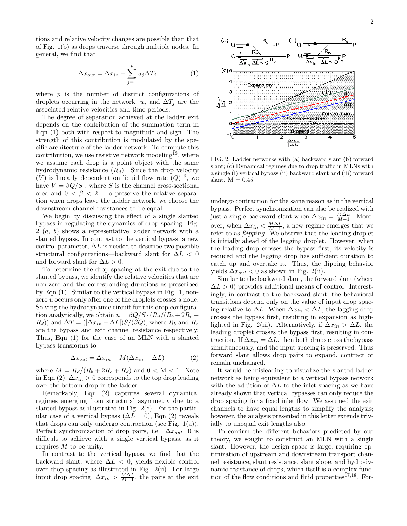tions and relative velocity changes are possible than that of Fig. 1(b) as drops traverse through multiple nodes. In general, we find that

$$
\Delta x_{out} = \Delta x_{in} + \sum_{j=1}^{p} u_j \Delta T_j \tag{1}
$$

where  $p$  is the number of distinct configurations of droplets occurring in the network,  $u_j$  and  $\Delta T_j$  are the associated relative velocities and time periods.

The degree of separation achieved at the ladder exit depends on the contribution of the summation term in Eqn (1) both with respect to magnitude and sign. The strength of this contribution is modulated by the specific architecture of the ladder network. To compute this contribution, we use resistive network modeling<sup>13</sup>, where we assume each drop is a point object with the same hydrodynamic resistance  $(R_d)$ . Since the drop velocity  $(V)$  is linearly dependent on liquid flow rate  $(Q)^{16}$ , we have  $V = \beta Q/S$ , where S is the channel cross-sectional area and  $0 < \beta < 2$ . To preserve the relative separation when drops leave the ladder network, we choose the downstream channel resistances to be equal.

We begin by discussing the effect of a single slanted bypass in regulating the dynamics of drop spacing. Fig. 2 (a, b) shows a representative ladder network with a slanted bypass. In contrast to the vertical bypass, a new control parameter,  $\Delta L$  is needed to describe two possible structural configurations—backward slant for  $\Delta L < 0$ and forward slant for  $\Delta L > 0$ .

To determine the drop spacing at the exit due to the slanted bypass, we identify the relative velocities that are non-zero and the corresponding durations as prescribed by Eqn (1). Similar to the vertical bypass in Fig. 1, nonzero *u* occurs only after one of the droplets crosses a node. Solving the hydrodynamic circuit for this drop configuration analytically, we obtain  $u = \beta Q/S \cdot (R_d/(R_b + 2R_e +$  $(R_d)$ ) and  $\Delta T = (\Delta x_{in} - \Delta L) S/(\beta Q)$ , where  $R_b$  and  $R_e$ are the bypass and exit channel resistance respectively. Thus, Eqn (1) for the case of an MLN with a slanted bypass transforms to

$$
\Delta x_{out} = \Delta x_{in} - M(\Delta x_{in} - \Delta L)
$$
 (2)

where  $M = R_d/(R_b + 2R_e + R_d)$  and  $0 < M < 1$ . Note in Eqn (2),  $\Delta x_{in} > 0$  corresponds to the top drop leading over the bottom drop in the ladder.

Remarkably, Eqn (2) captures several dynamical regimes emerging from structural asymmetry due to a slanted bypass as illustrated in Fig. 2(c). For the particular case of a vertical bypass  $(\Delta L = 0)$ , Eqn (2) reveals that drops can only undergo contraction (see Fig.  $1(a)$ ). Perfect synchronization of drop pairs, i.e.  $\Delta x_{out}=0$  is difficult to achieve with a single vertical bypass, as it requires M to be unity.

In contrast to the vertical bypass, we find that the backward slant, where  $\Delta L < 0$ , yields flexible control over drop spacing as illustrated in Fig. 2(ii). For large input drop spacing,  $\Delta x_{in} > \frac{M\Delta L}{M-1}$ , the pairs at the exit



FIG. 2. Ladder networks with (a) backward slant (b) forward slant; (c) Dynamical regimes due to drop traffic in MLNs with a single (i) vertical bypass (ii) backward slant and (iii) forward slant.  $M = 0.45$ .

undergo contraction for the same reason as in the vertical bypass. Perfect synchronization can also be realized with just a single backward slant when  $\Delta x_{in} = \frac{M\Delta L}{M-1}$ . Moreover, when  $\Delta x_{in} < \frac{M\Delta L}{M-1}$ , a new regime emerges that we refer to as *flipping*. We observe that the leading droplet is initially ahead of the lagging droplet. However, when the leading drop crosses the bypass first, its velocity is reduced and the lagging drop has sufficient duration to catch up and overtake it. Thus, the flipping behavior yields  $\Delta x_{out} < 0$  as shown in Fig. 2(ii).

Similar to the backward slant, the forward slant (where  $\Delta L > 0$ ) provides additional means of control. Interestingly, in contrast to the backward slant, the behavioral transitions depend only on the value of input drop spacing relative to  $\Delta L$ . When  $\Delta x_{in} < \Delta L$ , the lagging drop crosses the bypass first, resulting in expansion as highlighted in Fig. 2(iii). Alternatively, if  $\Delta x_{in} > \Delta L$ , the leading droplet crosses the bypass first, resulting in contraction. If  $\Delta x_{in} = \Delta L$ , then both drops cross the bypass simultaneously, and the input spacing is preserved. Thus forward slant allows drop pairs to expand, contract or remain unchanged.

It would be misleading to visualize the slanted ladder network as being equivalent to a vertical bypass network with the addition of  $\Delta L$  to the inlet spacing as we have already shown that vertical bypasses can only reduce the drop spacing for a fixed inlet flow. We assumed the exit channels to have equal lengths to simplify the analysis; however, the analysis presented in this letter extends trivially to unequal exit lengths also.

To confirm the different behaviors predicted by our theory, we sought to construct an MLN with a single slant. However, the design space is large, requiring optimization of upstream and downstream transport channel resistance, slant resistance, slant slope, and hydrodynamic resistance of drops, which itself is a complex function of the flow conditions and fluid properties $^{17,18}$ . For-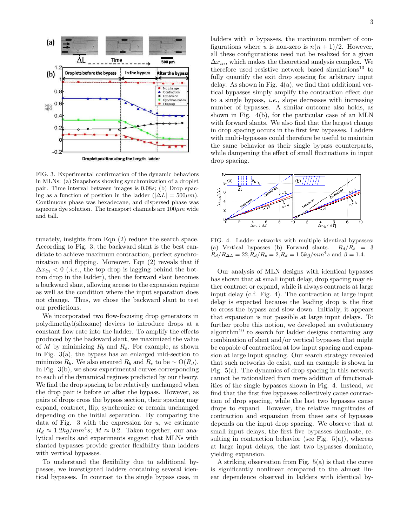

FIG. 3. Experimental confirmation of the dynamic behaviors in MLNs: (a) Snapshots showing synchronization of a droplet pair. Time interval between images is 0.08s; (b) Drop spacing as a function of position in the ladder  $(|\Delta L| = 500 \mu m)$ . Continuous phase was hexadecane, and dispersed phase was aqueous dye solution. The transport channels are  $100 \mu m$  wide and tall.

tunately, insights from Eqn (2) reduce the search space. According to Fig. 3, the backward slant is the best candidate to achieve maximum contraction, perfect synchronization and flipping. Moreover, Eqn (2) reveals that if  $\Delta x_{in}$  < 0 (*i.e.*, the top drop is lagging behind the bottom drop in the ladder), then the forward slant becomes a backward slant, allowing access to the expansion regime as well as the condition where the input separation does not change. Thus, we chose the backward slant to test our predictions.

We incorporated two flow-focusing drop generators in polydimethyl(siloxane) devices to introduce drops at a constant flow rate into the ladder. To amplify the effects produced by the backward slant, we maximized the value of M by minimizing  $R_b$  and  $R_e$ . For example, as shown in Fig. 3(a), the bypass has an enlarged mid-section to minimize  $R_b$ . We also ensured  $R_b$  and  $R_e$  to be  $\sim O(R_d)$ . In Fig. 3(b), we show experimental curves corresponding to each of the dynamical regimes predicted by our theory. We find the drop spacing to be relatively unchanged when the drop pair is before or after the bypass. However, as pairs of drops cross the bypass section, their spacing may expand, contract, flip, synchronize or remain unchanged depending on the initial separation. By comparing the data of Fig. 3 with the expression for  $u$ , we estimate  $R_d \approx 1.2 \text{kg/mm}^4 s$ ;  $M \approx 0.2$ . Taken together, our analytical results and experiments suggest that MLNs with slanted bypasses provide greater flexibility than ladders with vertical bypasses.

To understand the flexibility due to additional bypasses, we investigated ladders containing several identical bypasses. In contrast to the single bypass case, in ladders with  $n$  bypasses, the maximum number of configurations where u is non-zero is  $n(n + 1)/2$ . However, all these configurations need not be realized for a given  $\Delta x_{in}$ , which makes the theoretical analysis complex. We therefore used resistive network based simulations $^{13}$  to fully quantify the exit drop spacing for arbitrary input delay. As shown in Fig. 4(a), we find that additional vertical bypasses simply amplify the contraction effect due to a single bypass, *i.e.*, slope decreases with increasing number of bypasses. A similar outcome also holds, as shown in Fig. 4(b), for the particular case of an MLN with forward slants. We also find that the largest change in drop spacing occurs in the first few bypasses. Ladders with multi-bypasses could therefore be useful to maintain the same behavior as their single bypass counterparts, while dampening the effect of small fluctuations in input drop spacing.



FIG. 4. Ladder networks with multiple identical bypasses: (a) Vertical bypasses (b) Forward slants.  $R_d/R_b = 3$  $R_d/R_{\Delta L} = 22, R_d/R_e = 2, R_d = 1.5kg/mm^4 s$  and  $\beta = 1.4$ .

Our analysis of MLN designs with identical bypasses has shown that at small input delay, drop spacing may either contract or expand, while it always contracts at large input delay (c.f. Fig. 4). The contraction at large input delay is expected because the leading drop is the first to cross the bypass and slow down. Initially, it appears that expansion is not possible at large input delays. To further probe this notion, we developed an evolutionary algorithm<sup>19</sup> to search for ladder designs containing any combination of slant and/or vertical bypasses that might be capable of contraction at low input spacing and expansion at large input spacing. Our search strategy revealed that such networks do exist, and an example is shown in Fig. 5(a). The dynamics of drop spacing in this network cannot be rationalized from mere addition of functionalities of the single bypasses shown in Fig. 4. Instead, we find that the first five bypasses collectively cause contraction of drop spacing, while the last two bypasses cause drops to expand. However, the relative magnitudes of contraction and expansion from these sets of bypasses depends on the input drop spacing. We observe that at small input delays, the first five bypasses dominate, resulting in contraction behavior (see Fig.  $5(a)$ ), whereas at large input delays, the last two bypasses dominate, yielding expansion.

A striking observation from Fig. 5(a) is that the curve is significantly nonlinear compared to the almost linear dependence observed in ladders with identical by-